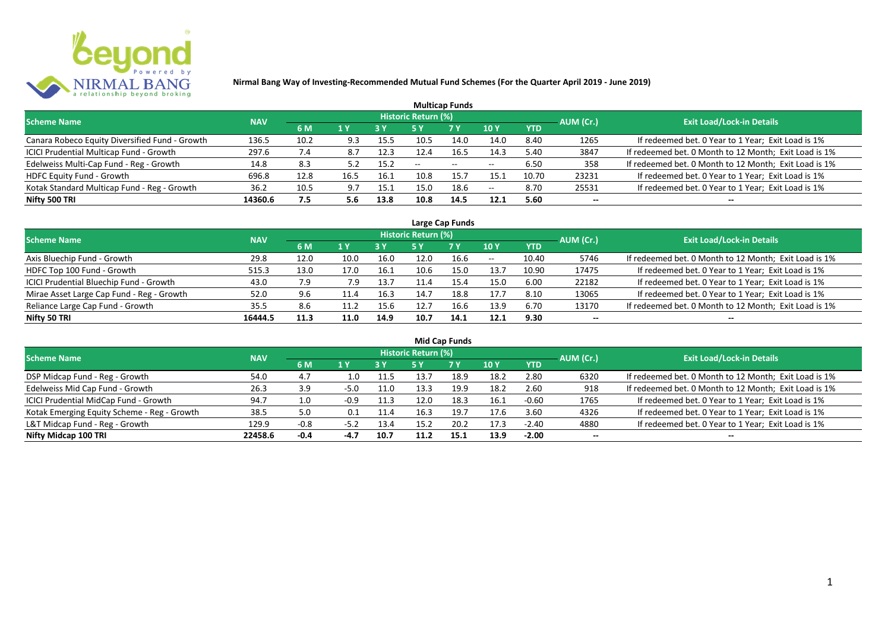

| <b>Multicap Funds</b>                          |            |                |      |            |                            |            |                          |            |           |                                                       |  |  |  |  |
|------------------------------------------------|------------|----------------|------|------------|----------------------------|------------|--------------------------|------------|-----------|-------------------------------------------------------|--|--|--|--|
| <b>Scheme Name</b>                             | <b>NAV</b> |                |      |            | <b>Historic Return (%)</b> |            |                          |            | AUM (Cr.) | <b>Exit Load/Lock-in Details</b>                      |  |  |  |  |
|                                                |            | 6 M            | 1 Y  | <b>3 Y</b> |                            | <b>7 Y</b> | <b>10Y</b>               | <b>YTD</b> |           |                                                       |  |  |  |  |
| Canara Robeco Equity Diversified Fund - Growth | 136.5      | 10.2           | 9.3  | 15.5       | 10.5                       | 14.0       | 14.0                     | 8.40       | 1265      | If redeemed bet. 0 Year to 1 Year; Exit Load is 1%    |  |  |  |  |
| ICICI Prudential Multicap Fund - Growth        | 297.6      | $^{\prime}$ .4 | 8.7  | 12.3       | 12.4                       | 16.5       | 14.3                     | 5.40       | 3847      | If redeemed bet. 0 Month to 12 Month; Exit Load is 1% |  |  |  |  |
| Edelweiss Multi-Cap Fund - Reg - Growth        | 14.8       | 8.3            | 5.2  | 15.2       | $- -$                      | $- -$      | $\overline{\phantom{m}}$ | 6.50       | 358       | If redeemed bet. 0 Month to 12 Month; Exit Load is 1% |  |  |  |  |
| HDFC Equity Fund - Growth                      | 696.8      | 12.8           | 16.5 | 16.1       | 10.8                       | 15.7       | 15.1                     | 10.70      | 23231     | If redeemed bet. 0 Year to 1 Year; Exit Load is 1%    |  |  |  |  |
| Kotak Standard Multicap Fund - Reg - Growth    | 36.2       | 10.5           | 9.7  | 15.1       | 15.0                       | 18.6       | $\overline{\phantom{a}}$ | 8.70       | 25531     | If redeemed bet. 0 Year to 1 Year; Exit Load is 1%    |  |  |  |  |
| Nifty 500 TRI                                  | 14360.6    | 7.5            | 5.6  | 13.8       | 10.8                       | 14.5       | 12.1                     | 5.60       | $- -$     | --                                                    |  |  |  |  |

| Large Cap Funds                           |            |      |      |      |                     |           |            |            |           |                                                       |  |  |  |
|-------------------------------------------|------------|------|------|------|---------------------|-----------|------------|------------|-----------|-------------------------------------------------------|--|--|--|
| Scheme Name                               | <b>NAV</b> |      |      |      | Historic Return (%) |           |            |            | AUM (Cr.) | <b>Exit Load/Lock-in Details</b>                      |  |  |  |
|                                           |            | 6 M  | 1 Y  |      | 5 Y                 | <b>7Y</b> | <b>10Y</b> | <b>YTD</b> |           |                                                       |  |  |  |
| Axis Bluechip Fund - Growth               | 29.8       | 12.0 | 10.0 | 16.0 | 12.0                | 16.6      | $- -$      | 10.40      | 5746      | If redeemed bet. 0 Month to 12 Month; Exit Load is 1% |  |  |  |
| HDFC Top 100 Fund - Growth                | 515.3      | 13.0 | 17.0 | 16.1 | 10.6                | 15.0      | 13.7       | 10.90      | 17475     | If redeemed bet. 0 Year to 1 Year; Exit Load is 1%    |  |  |  |
| ICICI Prudential Bluechip Fund - Growth   | 43.0       | 7.9  | 7.9  | 13.7 |                     | 15.4      | 15.0       | 6.00       | 22182     | If redeemed bet. 0 Year to 1 Year; Exit Load is 1%    |  |  |  |
| Mirae Asset Large Cap Fund - Reg - Growth | 52.0       | 9.6  | 11.4 | 16.3 | 14.7                | 18.8      | 17.7       | 8.10       | 13065     | If redeemed bet. 0 Year to 1 Year; Exit Load is 1%    |  |  |  |
| Reliance Large Cap Fund - Growth          | 35.5       | 8.6  |      | 15.6 |                     | 16.6      | 13.9       | 6.70       | 13170     | If redeemed bet. 0 Month to 12 Month; Exit Load is 1% |  |  |  |
| Nifty 50 TRI                              | 16444.5    | 11.3 | 11.0 | 14.9 | 10.7                | 14.1      | 12.1       | 9.30       | --        | $- -$                                                 |  |  |  |

| <b>Mid Cap Funds</b>                        |            |        |        |      |                            |      |      |            |                          |                                                       |  |  |  |
|---------------------------------------------|------------|--------|--------|------|----------------------------|------|------|------------|--------------------------|-------------------------------------------------------|--|--|--|
| Scheme Name                                 | <b>NAV</b> |        |        |      | <b>Historic Return (%)</b> |      |      |            | AUM (Cr.)                | <b>Exit Load/Lock-in Details</b>                      |  |  |  |
|                                             |            | 6 M    | 1 Y    | 73 Y | 5 Y                        | 7 Y  | 10 Y | <b>YTD</b> |                          |                                                       |  |  |  |
| DSP Midcap Fund - Reg - Growth              | 54.0       | 4.7    | .0.    | 11.5 | 13.7                       | 18.9 | 18.2 | 2.80       | 6320                     | If redeemed bet. 0 Month to 12 Month; Exit Load is 1% |  |  |  |
| Edelweiss Mid Cap Fund - Growth             | 26.3       | 3.9    | $-5.0$ | 11.0 | 13.3                       | 19.9 | 18.2 | 2.60       | 918                      | If redeemed bet. 0 Month to 12 Month; Exit Load is 1% |  |  |  |
| ICICI Prudential MidCap Fund - Growth       | 94.7       | 1.0    | $-0.9$ | 11.3 | 12.0                       | 18.3 | 16.1 | $-0.60$    | 1765                     | If redeemed bet. 0 Year to 1 Year; Exit Load is 1%    |  |  |  |
| Kotak Emerging Equity Scheme - Reg - Growth | 38.5       | 5.0    | 0.1    | 11.4 | 16.3                       | 19.7 | 17.6 | 3.60       | 4326                     | If redeemed bet. 0 Year to 1 Year; Exit Load is 1%    |  |  |  |
| L&T Midcap Fund - Reg - Growth              | 129.9      | $-0.8$ | $-5.2$ | 13.4 | 15.2                       | 20.2 | 17.3 | $-2.40$    | 4880                     | If redeemed bet. 0 Year to 1 Year; Exit Load is 1%    |  |  |  |
| Nifty Midcap 100 TRI                        | 22458.6    | -0.4   | $-4.7$ | 10.7 | 11.2                       | 15.1 | 13.9 | $-2.00$    | $\overline{\phantom{a}}$ | --                                                    |  |  |  |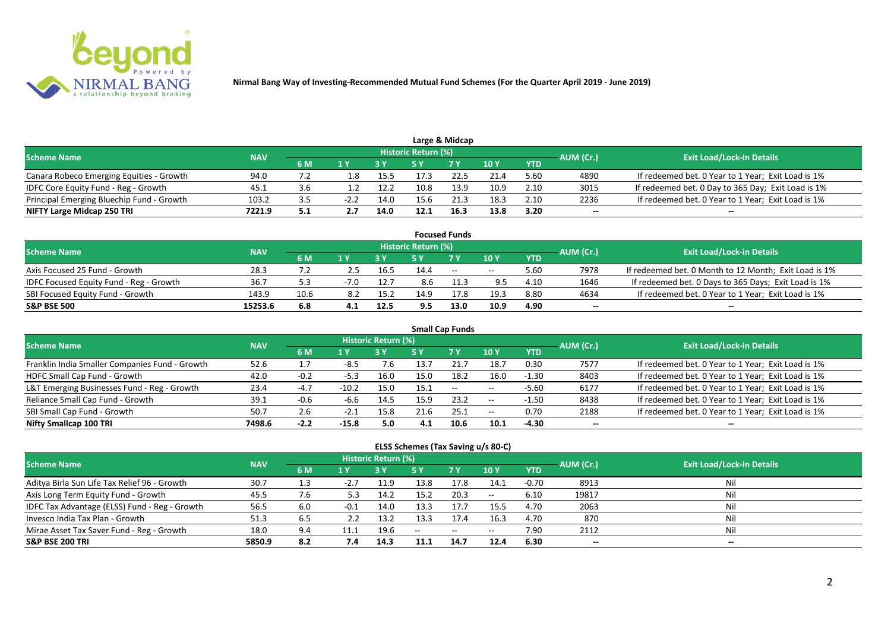

|                                           |            |     |        |      |                            | Large & Midcap |      |            |           |                                                    |
|-------------------------------------------|------------|-----|--------|------|----------------------------|----------------|------|------------|-----------|----------------------------------------------------|
| <b>Scheme Name</b>                        | <b>NAV</b> |     |        |      | <b>Historic Return (%)</b> |                |      |            | AUM (Cr.) | <b>Exit Load/Lock-in Details</b>                   |
|                                           |            | 6 M |        |      |                            | 7 Y            | 10 Y | <b>YTD</b> |           |                                                    |
| Canara Robeco Emerging Equities - Growth  | 94.0       |     | . .8   | 15.5 |                            | 22.5           | 21.4 | 5.60       | 4890      | If redeemed bet. 0 Year to 1 Year; Exit Load is 1% |
| IDFC Core Equity Fund - Reg - Growth      | د.45       |     |        | 12.2 | 10.8                       | 13.9           | 10.9 | 2.10       | 3015      | If redeemed bet. 0 Day to 365 Day; Exit Load is 1% |
| Principal Emerging Bluechip Fund - Growth | 103.2      |     | $-2.2$ | 14.0 | 15.6                       | 21.3           | 18.3 | 2.10       | 2236      | If redeemed bet. 0 Year to 1 Year; Exit Load is 1% |
| NIFTY Large Midcap 250 TRI                | 7221.9     | 5.1 |        | 14.0 | 12.1                       | 16.3           | 13.8 | 3.20       | --        | $- -$                                              |

|                                         |            |           |     |      |                     | <b>Focused Funds</b> |       |            |           |                                                       |
|-----------------------------------------|------------|-----------|-----|------|---------------------|----------------------|-------|------------|-----------|-------------------------------------------------------|
| <b>Scheme Name</b>                      | <b>NAV</b> |           |     |      | Historic Return (%) |                      |       |            | AUM (Cr.) | <b>Exit Load/Lock-in Details</b>                      |
|                                         |            | <b>6M</b> | 1 V |      |                     | 7 Y                  | 10Y   | <b>YTD</b> |           |                                                       |
| Axis Focused 25 Fund - Growth           | 28.3       |           | 2.5 | 16.5 | 14.4                | $-$                  | $- -$ | 5.60       | 7978      | If redeemed bet. 0 Month to 12 Month; Exit Load is 1% |
| IDFC Focused Equity Fund - Reg - Growth | 36.7       |           |     | 12.7 | 8.6                 | 11.3                 | 9.5   | 4.10       | 1646      | If redeemed bet. 0 Days to 365 Days; Exit Load is 1%  |
| SBI Focused Equity Fund - Growth        | 143.9      | 10.6      | 8.2 | 15.2 | 14.9                | 17.8                 | 19.3  | 8.80       | 4634      | If redeemed bet. 0 Year to 1 Year; Exit Load is 1%    |
| <b>S&amp;P BSE 500</b>                  | 15253.6    | 6.8       | 4.1 | 12.5 | 9.5                 | 13.0                 | 10.9  | 4.90       | $- -$     | $\overline{\phantom{a}}$                              |

| <b>Small Cap Funds</b>                         |            |        |         |                     |      |                          |       |            |           |                                                    |  |  |  |
|------------------------------------------------|------------|--------|---------|---------------------|------|--------------------------|-------|------------|-----------|----------------------------------------------------|--|--|--|
| <b>Scheme Name</b>                             | <b>NAV</b> |        |         | Historic Return (%) |      |                          |       |            | AUM (Cr.) | <b>Exit Load/Lock-in Details</b>                   |  |  |  |
|                                                |            | 6 M    | 1 Y     |                     | 5 Y  | <b>7Y</b>                | 10Y   | <b>YTD</b> |           |                                                    |  |  |  |
| Franklin India Smaller Companies Fund - Growth | 52.6       |        | -8.5    | 7.6                 | 13.7 |                          | 18.7  | 0.30       | 7577      | If redeemed bet. 0 Year to 1 Year; Exit Load is 1% |  |  |  |
| HDFC Small Cap Fund - Growth                   | 42.0       | $-0.2$ | $-5.3$  | 16.0                | 15.0 | 18.2                     | 16.0  | $-1.30$    | 8403      | If redeemed bet. 0 Year to 1 Year; Exit Load is 1% |  |  |  |
| L&T Emerging Businesses Fund - Reg - Growth    | 23.4       | $-4.7$ | $-10.2$ | 15.0                | 15.1 | $\overline{\phantom{a}}$ | $- -$ | $-5.60$    | 6177      | If redeemed bet. 0 Year to 1 Year; Exit Load is 1% |  |  |  |
| Reliance Small Cap Fund - Growth               | 39.1       | $-0.6$ | -6.6    | 14.5                | 15.9 | 23.2                     | $- -$ | $-1.50$    | 8438      | If redeemed bet. 0 Year to 1 Year; Exit Load is 1% |  |  |  |
| SBI Small Cap Fund - Growth                    | 50.7       | 2.6    | $-2.1$  | 15.8                | 21.6 | 25.1                     | $- -$ | 0.70       | 2188      | If redeemed bet. 0 Year to 1 Year; Exit Load is 1% |  |  |  |
| Nifty Smallcap 100 TRI                         | 7498.6     | $-2.2$ | $-15.8$ | 5.0                 | 4.1  | 10.6                     | 10.1  | -4.30      | $- -$     | --                                                 |  |  |  |

#### **ELSS Schemes (Tax Saving u/s 80-C)**

| <b>Scheme Name</b>                            | <b>NAV</b> |     |        | <b>Historic Return (%)</b> |      |            |                 |            | AUM (Cr.)                | <b>Exit Load/Lock-in Details</b> |
|-----------------------------------------------|------------|-----|--------|----------------------------|------|------------|-----------------|------------|--------------------------|----------------------------------|
|                                               |            | 6 M | 1 Y    |                            | 5 Y  | <b>7 Y</b> | 10 <sub>1</sub> | <b>YTD</b> |                          |                                  |
| Aditya Birla Sun Life Tax Relief 96 - Growth  | 30.7       |     | $-2.7$ | 11.9                       | 13.8 | 17.8       | 14.1            | $-0.70$    | 8913                     | Nil                              |
| Axis Long Term Equity Fund - Growth           | 45.5       | 7.6 | 5.3    | 14.2                       | 15.2 | 20.3       | $- -$           | 6.10       | 19817                    | Nil                              |
| IDFC Tax Advantage (ELSS) Fund - Reg - Growth | 56.5       | 6.0 | $-0.1$ | 14.0                       | 13.3 | 17.7       | 15.5            | 4.70       | 2063                     | Nil                              |
| Invesco India Tax Plan - Growth               | 51.3       | 6.5 |        | 13.2                       | 13.3 |            | 16.3            | 4.70       | 870                      | Nil                              |
| Mirae Asset Tax Saver Fund - Reg - Growth     | 18.0       | 9.4 |        | 19.6                       | $-$  | $\sim$     | $- -$           | 7.90       | 2112                     | Nil                              |
| <b>S&amp;P BSE 200 TRI</b>                    | 5850.9     | 8.2 | 7.4    | 14.3                       |      | 14.7       | 12.4            | 6.30       | $\overline{\phantom{a}}$ | $- -$                            |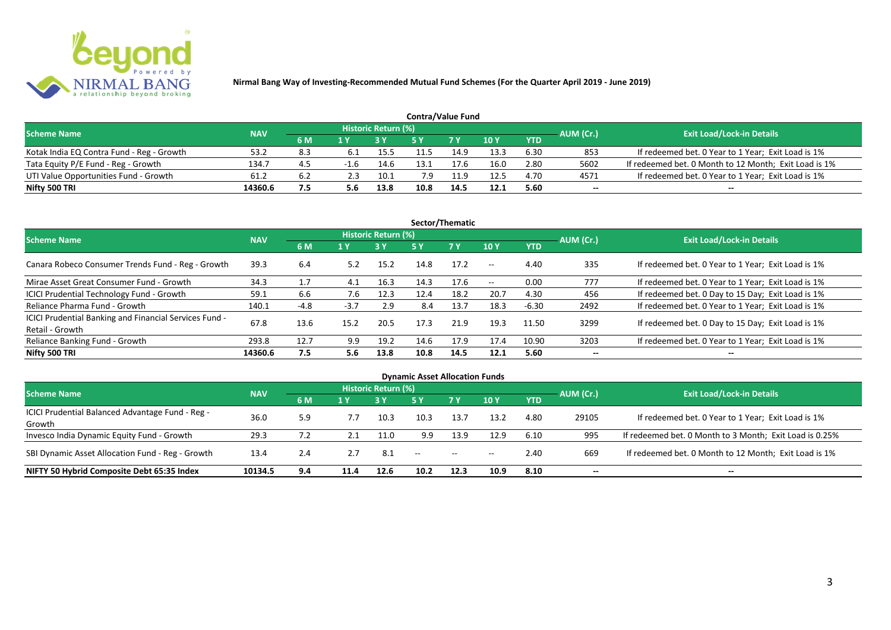

| <b>Contra/Value Fund</b>                  |            |     |        |                     |      |            |        |            |           |                                                       |  |  |  |
|-------------------------------------------|------------|-----|--------|---------------------|------|------------|--------|------------|-----------|-------------------------------------------------------|--|--|--|
| <b>Scheme Name</b>                        | <b>NAV</b> |     |        | Historic Return (%) |      |            |        |            | AUM (Cr.) | <b>Exit Load/Lock-in Details</b>                      |  |  |  |
|                                           |            | 6 M | 1 Y    |                     | 5 V  | <b>7 V</b> | $-10V$ | <b>YTD</b> |           |                                                       |  |  |  |
| Kotak India EQ Contra Fund - Reg - Growth | 53.2       | 8.3 | 6.1    | 15.5                | 11.5 | 14.9       | 13.3   | 6.30       | 853       | If redeemed bet. 0 Year to 1 Year; Exit Load is 1%    |  |  |  |
| Tata Equity P/E Fund - Reg - Growth       | 134.7      | 4.5 | $-1.6$ | 14.6                | 13.1 | 17.6       | 16.0   | 2.80       | 5602      | If redeemed bet. 0 Month to 12 Month; Exit Load is 1% |  |  |  |
| UTI Value Opportunities Fund - Growth     | 61.2       | 6.2 | 2.3    | 10.1                | 7.9  | 11.9       | 12.5   | 4.70       | 4571      | If redeemed bet. 0 Year to 1 Year; Exit Load is 1%    |  |  |  |
| Nifty 500 TRI                             | 14360.6    | 7.5 |        | 13.8                | 10.8 | 14.5       | 12.1   | 5.60       | --        | $- -$                                                 |  |  |  |

| Sector/Thematic                                                           |            |      |        |                            |      |           |                          |            |           |                                                    |  |  |  |
|---------------------------------------------------------------------------|------------|------|--------|----------------------------|------|-----------|--------------------------|------------|-----------|----------------------------------------------------|--|--|--|
| <b>Scheme Name</b>                                                        | <b>NAV</b> |      |        | <b>Historic Return (%)</b> |      |           |                          |            | AUM (Cr.) | <b>Exit Load/Lock-in Details</b>                   |  |  |  |
|                                                                           |            | 6 M  | 1 Y    | <b>3 Y</b>                 | 5 Y  | <b>7Y</b> | <b>10Y</b>               | <b>YTD</b> |           |                                                    |  |  |  |
| Canara Robeco Consumer Trends Fund - Reg - Growth                         | 39.3       | 6.4  | 5.2    | 15.2                       | 14.8 | 17.2      | $\sim$ $-$               | 4.40       | 335       | If redeemed bet. 0 Year to 1 Year; Exit Load is 1% |  |  |  |
| Mirae Asset Great Consumer Fund - Growth                                  | 34.3       | 1.7  | 4.1    | 16.3                       | 14.3 | 17.6      | $\overline{\phantom{a}}$ | 0.00       | 777       | If redeemed bet. 0 Year to 1 Year; Exit Load is 1% |  |  |  |
| ICICI Prudential Technology Fund - Growth                                 | 59.1       | 6.6  | 7.6    | 12.3                       | 12.4 | 18.2      | 20.7                     | 4.30       | 456       | If redeemed bet. 0 Day to 15 Day; Exit Load is 1%  |  |  |  |
| Reliance Pharma Fund - Growth                                             | 140.1      | -4.8 | $-3.7$ | 2.9                        | 8.4  | 13.7      | 18.3                     | $-6.30$    | 2492      | If redeemed bet. 0 Year to 1 Year; Exit Load is 1% |  |  |  |
| ICICI Prudential Banking and Financial Services Fund -<br>Retail - Growth | 67.8       | 13.6 | 15.2   | 20.5                       | 17.3 | 21.9      | 19.3                     | 11.50      | 3299      | If redeemed bet. 0 Day to 15 Day; Exit Load is 1%  |  |  |  |
| Reliance Banking Fund - Growth                                            | 293.8      | 12.7 | 9.9    | 19.2                       | 14.6 | 17.9      | 17.4                     | 10.90      | 3203      | If redeemed bet. 0 Year to 1 Year; Exit Load is 1% |  |  |  |
| Nifty 500 TRI                                                             | 14360.6    | 7.5  | 5.6    | 13.8                       | 10.8 | 14.5      | 12.1                     | 5.60       | $- -$     | $\overline{\phantom{a}}$                           |  |  |  |

| <b>Dynamic Asset Allocation Funds</b>            |            |     |      |                            |                          |           |            |            |           |                                                         |  |  |  |
|--------------------------------------------------|------------|-----|------|----------------------------|--------------------------|-----------|------------|------------|-----------|---------------------------------------------------------|--|--|--|
| <b>Scheme Name</b>                               | <b>NAV</b> |     |      | <b>Historic Return (%)</b> |                          |           |            |            |           | <b>Exit Load/Lock-in Details</b>                        |  |  |  |
|                                                  |            | 6 M | 1 Y  |                            | <b>5 Y</b>               | <b>7Y</b> | <b>10Y</b> | <b>YTD</b> | AUM (Cr.) |                                                         |  |  |  |
| ICICI Prudential Balanced Advantage Fund - Reg - | 36.0       |     | 7.7  |                            | 10.3                     | 13.7      | 13.2       | 4.80       | 29105     | If redeemed bet. 0 Year to 1 Year; Exit Load is 1%      |  |  |  |
| Growth                                           |            | 5.9 |      | 10.3                       |                          |           |            |            |           |                                                         |  |  |  |
| Invesco India Dynamic Equity Fund - Growth       | 29.3       |     |      | 11.0                       | 9.9                      | 13.9      | 12.9       | 6.10       | 995       | If redeemed bet. 0 Month to 3 Month; Exit Load is 0.25% |  |  |  |
| SBI Dynamic Asset Allocation Fund - Reg - Growth | 13.4       | 2.4 |      | 8.1                        | $\overline{\phantom{a}}$ | $\sim$    | $- -$      | 2.40       | 669       | If redeemed bet. 0 Month to 12 Month; Exit Load is 1%   |  |  |  |
| NIFTY 50 Hybrid Composite Debt 65:35 Index       | 10134.5    | 9.4 | 11.4 | 12.6                       | 10.2                     | 12.3      | 10.9       | 8.10       | --        | --                                                      |  |  |  |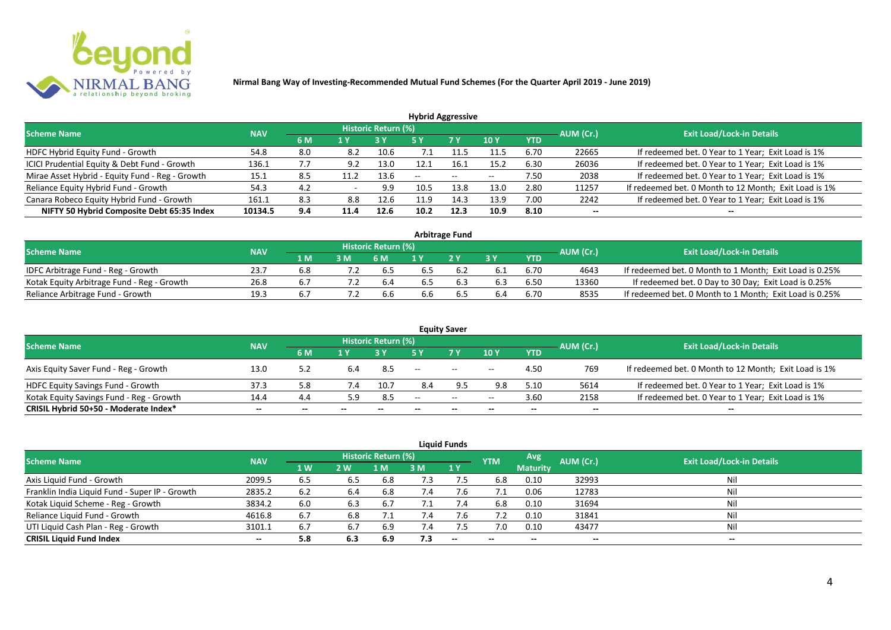

| <b>Hybrid Aggressive</b>                        |            |     |      |                     |      |               |            |            |           |                                                       |  |  |  |
|-------------------------------------------------|------------|-----|------|---------------------|------|---------------|------------|------------|-----------|-------------------------------------------------------|--|--|--|
| <b>Scheme Name</b>                              | <b>NAV</b> |     |      | Historic Return (%) |      |               |            |            | AUM (Cr.) | <b>Exit Load/Lock-in Details</b>                      |  |  |  |
|                                                 |            | 6 M | 1 Y  |                     | 5 Y  | 7 Y           | <b>10Y</b> | <b>YTD</b> |           |                                                       |  |  |  |
| HDFC Hybrid Equity Fund - Growth                | 54.8       | 8.0 | 8.2  | 10.6                |      |               | 11.5       | 6.70       | 22665     | If redeemed bet. 0 Year to 1 Year; Exit Load is 1%    |  |  |  |
| ICICI Prudential Equity & Debt Fund - Growth    | 136.1      | 7.7 | 9.2  | 13.0                |      | 16.7          | 15.2       | 6.30       | 26036     | If redeemed bet. 0 Year to 1 Year; Exit Load is 1%    |  |  |  |
| Mirae Asset Hybrid - Equity Fund - Reg - Growth | 15.1       | 8.5 |      | 13.6                | --   | $\sim$ $\sim$ | $- -$      | 7.50       | 2038      | If redeemed bet. 0 Year to 1 Year; Exit Load is 1%    |  |  |  |
| Reliance Equity Hybrid Fund - Growth            | 54.3       | 4.2 |      | 9.9                 | 10.5 | 13.8          | 13.0       | 2.80       | 11257     | If redeemed bet. 0 Month to 12 Month; Exit Load is 1% |  |  |  |
| Canara Robeco Equity Hybrid Fund - Growth       | 161.1      | 8.3 | 8.8  | 12.6                | 11.9 | 14.3          | 13.9       | 7.00       | 2242      | If redeemed bet. 0 Year to 1 Year; Exit Load is 1%    |  |  |  |
| NIFTY 50 Hybrid Composite Debt 65:35 Index      | 10134.5    | 9.4 | 11.4 | 12.6                | 10.2 | 12.3          | 10.9       | 8.10       | $- -$     |                                                       |  |  |  |
|                                                 |            |     |      |                     |      |               |            |            |           |                                                       |  |  |  |

| <b>Arbitrage Fund</b>                      |            |       |    |                     |     |     |     |            |           |                                                         |  |  |  |
|--------------------------------------------|------------|-------|----|---------------------|-----|-----|-----|------------|-----------|---------------------------------------------------------|--|--|--|
| <b>Scheme Name</b>                         | <b>NAV</b> |       |    | Historic Return (%) |     |     |     |            | AUM (Cr.) | <b>Exit Load/Lock-in Details</b>                        |  |  |  |
|                                            |            | 1 M / | 3M | 6 M                 |     | 2V  |     | <b>YTD</b> |           |                                                         |  |  |  |
| IDFC Arbitrage Fund - Reg - Growth         | 23.7       |       |    | 6.5                 |     |     |     | 6.70       | 4643      | If redeemed bet. 0 Month to 1 Month; Exit Load is 0.25% |  |  |  |
| Kotak Equity Arbitrage Fund - Reg - Growth | 26.8       |       |    | -6.4                | 6.5 | 6.3 | 6.3 | 6.50       | 13360     | If redeemed bet. 0 Day to 30 Day; Exit Load is 0.25%    |  |  |  |
| Reliance Arbitrage Fund - Growth           | 19.3       |       |    | 6.6                 | 6.6 | כ.ס |     | 6.70       | 8535      | If redeemed bet. 0 Month to 1 Month; Exit Load is 0.25% |  |  |  |

|                                          |            |       |       |                     |                   | <b>Equity Saver</b> |                          |            |                          |                                                       |
|------------------------------------------|------------|-------|-------|---------------------|-------------------|---------------------|--------------------------|------------|--------------------------|-------------------------------------------------------|
| <b>Scheme Name</b>                       | <b>NAV</b> |       |       | Historic Return (%) |                   |                     |                          |            |                          | <b>Exit Load/Lock-in Details</b>                      |
|                                          |            | 6 M   |       |                     |                   | <b>7 Y</b>          | <b>10Y</b>               | <b>YTD</b> | AUM (Cr.)                |                                                       |
| Axis Equity Saver Fund - Reg - Growth    | 13.0       |       | 6.4   | -8.5                | $\hspace{0.05cm}$ | $\sim$              | $\overline{\phantom{a}}$ | 4.50       | 769                      | If redeemed bet. 0 Month to 12 Month; Exit Load is 1% |
| HDFC Equity Savings Fund - Growth        | 37.3       | 5.8   |       | 10.7                | 8.4               |                     | 9.8                      | 5.10       | 5614                     | If redeemed bet. 0 Year to 1 Year; Exit Load is 1%    |
| Kotak Equity Savings Fund - Reg - Growth | 14.4       | 4.4   | 5.9   | 8.5                 | $-$               | $\sim$ $\sim$       | $- -$                    | 3.60       | 2158                     | If redeemed bet. 0 Year to 1 Year; Exit Load is 1%    |
| CRISIL Hybrid 50+50 - Moderate Index*    | $- -$      | $- -$ | $- -$ | $- -$               |                   | $- -$               | $\overline{\phantom{a}}$ | $- -$      | $\overline{\phantom{a}}$ | $- -$                                                 |

| <b>Liquid Funds</b>                            |            |     |     |                            |             |                          |            |                 |                          |                                  |  |  |  |  |
|------------------------------------------------|------------|-----|-----|----------------------------|-------------|--------------------------|------------|-----------------|--------------------------|----------------------------------|--|--|--|--|
| <b>Scheme Name</b>                             | <b>NAV</b> |     |     | <b>Historic Return (%)</b> |             |                          | <b>YTM</b> | Avg.            | AUM (Cr.)                | <b>Exit Load/Lock-in Details</b> |  |  |  |  |
|                                                |            | 1 W | 2 W | 1 M                        | 3 M         | 1Y                       |            | <b>Maturity</b> |                          |                                  |  |  |  |  |
| Axis Liquid Fund - Growth                      | 2099.5     | 6.5 | 6.5 | 6.8                        | 7.3         |                          | 6.8        | 0.10            | 32993                    | Nil                              |  |  |  |  |
| Franklin India Liquid Fund - Super IP - Growth | 2835.2     | 6.2 | 6.4 | 6.8                        | 7.4         | 7.6                      |            | 0.06            | 12783                    | Nil                              |  |  |  |  |
| Kotak Liquid Scheme - Reg - Growth             | 3834.2     | 6.0 | 6.3 | 6.7                        | 7.1         | 7.4                      | 6.8        | 0.10            | 31694                    | Nil                              |  |  |  |  |
| Reliance Liquid Fund - Growth                  | 4616.8     | 6.7 | 6.8 |                            | $\sqrt{.4}$ | 7.6                      | 7.2        | 0.10            | 31841                    | Nil                              |  |  |  |  |
| UTI Liquid Cash Plan - Reg - Growth            | 3101.1     | 6.7 | 6.7 | -6.9                       |             |                          | 7.0        | 0.10            | 43477                    | Nil                              |  |  |  |  |
| <b>CRISIL Liquid Fund Index</b>                | $- -$      | 5.8 | 6.3 | 6.9                        | 7.3         | $\overline{\phantom{a}}$ | $- -$      | --              | $\overline{\phantom{a}}$ | $- -$                            |  |  |  |  |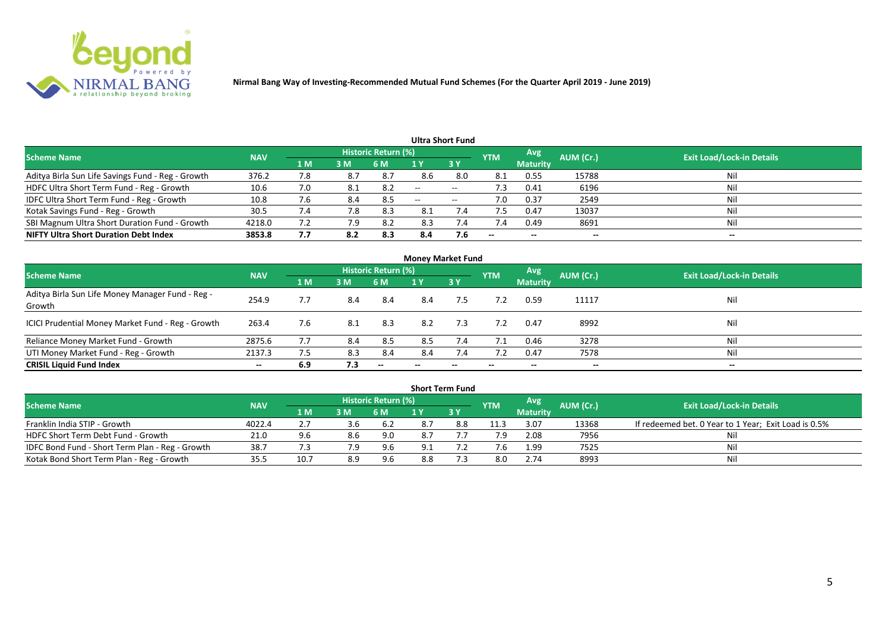

|                                                   |            |     |     |                            |     | Ultra Short Fund  |                          |                 |           |                                  |
|---------------------------------------------------|------------|-----|-----|----------------------------|-----|-------------------|--------------------------|-----------------|-----------|----------------------------------|
| <b>Scheme Name</b>                                | <b>NAV</b> |     |     | <b>Historic Return (%)</b> |     |                   | <b>YTM</b>               | Avg             | AUM (Cr.) | <b>Exit Load/Lock-in Details</b> |
|                                                   |            | 1 M | 3M  | 6 M                        |     | 3Y                |                          | <b>Maturity</b> |           |                                  |
| Aditya Birla Sun Life Savings Fund - Reg - Growth | 376.2      | 7.8 | 8.7 | 8.7                        | 8.6 | 8.0               | 8.1                      | 0.55            | 15788     | Nil                              |
| HDFC Ultra Short Term Fund - Reg - Growth         | 10.6       | 7.0 |     | 8.2                        | $-$ | $- -$             | د. ا                     | 0.41            | 6196      | Nil                              |
| IDFC Ultra Short Term Fund - Reg - Growth         | 10.8       | 7.b | 8.4 | 8.5                        | $-$ | $\hspace{0.05cm}$ | 7.0                      | 0.37            | 2549      | Nil                              |
| Kotak Savings Fund - Reg - Growth                 | 30.5       | 7.4 | 7.8 | 8.3                        | 8.1 | 7.4               |                          | 0.47            | 13037     | Nil                              |
| SBI Magnum Ultra Short Duration Fund - Growth     | 4218.0     | 7.2 | 7.9 | 8.2                        | 8.3 | 7.4               | 7.4                      | 0.49            | 8691      | Nil                              |
| <b>NIFTY Ultra Short Duration Debt Index</b>      | 3853.8     | 7.7 | 8.2 | 8.3                        | 8.4 | 7.6               | $\overline{\phantom{a}}$ | $- -$           | --        | $- -$                            |

|                                                            |            |                |     |                     | <b>Money Market Fund</b> |           |                          |                 |           |                                  |
|------------------------------------------------------------|------------|----------------|-----|---------------------|--------------------------|-----------|--------------------------|-----------------|-----------|----------------------------------|
| <b>Scheme Name</b>                                         | <b>NAV</b> |                |     | Historic Return (%) |                          |           | <b>YTM</b>               | Avg             | AUM (Cr.) | <b>Exit Load/Lock-in Details</b> |
|                                                            |            | 1 <sub>M</sub> | 3 M | 6 M                 | 1 Y                      | <b>3Y</b> |                          | <b>Maturity</b> |           |                                  |
| Aditya Birla Sun Life Money Manager Fund - Reg -<br>Growth | 254.9      | 7.7            | 8.4 | -8.4                | 8.4                      | 7.5       | 7.2                      | 0.59            | 11117     | Nil                              |
| ICICI Prudential Money Market Fund - Reg - Growth          | 263.4      | 7.6            | 8.1 | 8.3                 | 8.2                      | 7.3       | 7.2                      | 0.47            | 8992      | Nil                              |
| Reliance Money Market Fund - Growth                        | 2875.6     | 7.7            | 8.4 | 8.5                 | 8.5                      | 7.4       | 7.1                      | 0.46            | 3278      | Nil                              |
| UTI Money Market Fund - Reg - Growth                       | 2137.3     | 7.5            | 8.3 | 8.4                 | 8.4                      | 7.4       |                          | 0.47            | 7578      | Nil                              |
| <b>CRISIL Liquid Fund Index</b>                            | $- -$      | 6.9            | 7.3 | $-$                 | --                       | $- -$     | $\overline{\phantom{a}}$ | $- -$           | $- -$     | $- -$                            |

|                                                 |            |      |     |                            |     | <b>Short Term Fund</b> |            |                 |           |                                                      |
|-------------------------------------------------|------------|------|-----|----------------------------|-----|------------------------|------------|-----------------|-----------|------------------------------------------------------|
| <b>Scheme Name</b>                              | <b>NAV</b> |      |     | <b>Historic Return (%)</b> |     |                        | <b>YTM</b> | <b>Avg</b>      | AUM (Cr.) | <b>Exit Load/Lock-in Details</b>                     |
|                                                 |            | 1 M  | 3M  | '6 M                       |     | 73 Y                   |            | <b>Maturity</b> |           |                                                      |
| Franklin India STIP - Growth                    | 4022.4     |      | 3.b | 6.2                        |     | 8.8                    | 11.3       | 3.07            | 13368     | If redeemed bet. 0 Year to 1 Year; Exit Load is 0.5% |
| HDFC Short Term Debt Fund - Growth              | 21.0       |      | 8.6 | 9.0                        | 8.7 |                        | 7.9        | 2.08            | 7956      |                                                      |
| IDFC Bond Fund - Short Term Plan - Reg - Growth | 38.7       |      | 7.9 | 9.6                        | Q 1 |                        |            | 1.99            | 7525      | Nil                                                  |
| Kotak Bond Short Term Plan - Reg - Growth       | 35.5       | 10.7 | 8.9 | 9.6                        | 8.8 |                        | 8.0        | 2.74            | 8993      | Nil                                                  |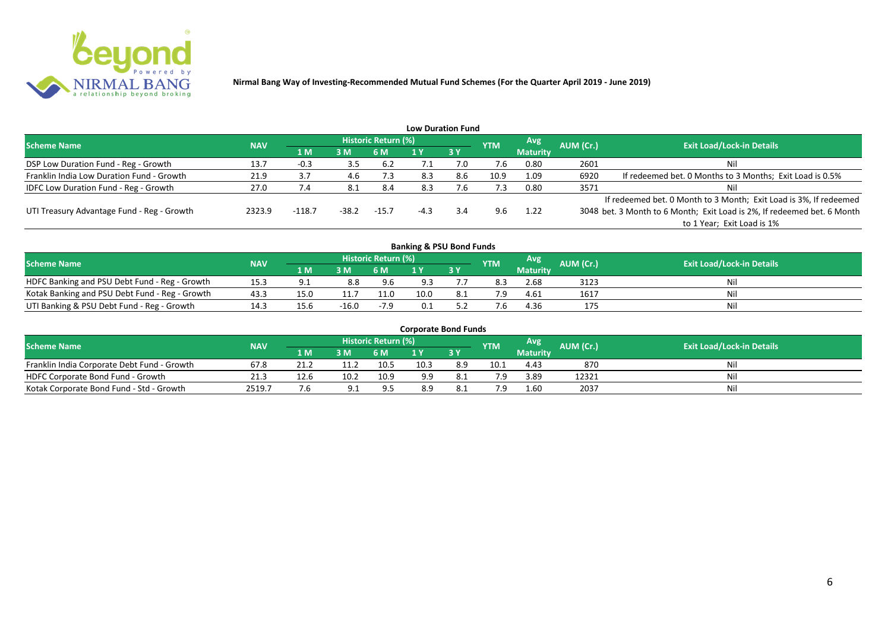

|                                              |            |          |         |                     |      | <b>Low Duration Fund</b> |            |                 |           |                                                                         |
|----------------------------------------------|------------|----------|---------|---------------------|------|--------------------------|------------|-----------------|-----------|-------------------------------------------------------------------------|
| <b>Scheme Name</b>                           | <b>NAV</b> |          |         | Historic Return (%) |      |                          | <b>YTM</b> | Avg             | AUM (Cr.) | <b>Exit Load/Lock-in Details</b>                                        |
|                                              |            | 1 M      | 3M      | 6 M                 |      | 3Y                       |            | <b>Maturity</b> |           |                                                                         |
| DSP Low Duration Fund - Reg - Growth         | 13.7       | $-0.3$   | 3.5     | 6.2                 | ـ. / | 7.0                      | 7.6        | 0.80            | 2601      | Nil                                                                     |
| Franklin India Low Duration Fund - Growth    | 21.9       | 3.7      | 4.6     | 7.3                 | 8.3  | 8.6                      | 10.9       | 1.09            | 6920      | If redeemed bet. 0 Months to 3 Months; Exit Load is 0.5%                |
| <b>IDFC Low Duration Fund - Reg - Growth</b> | 27.0       | 7.4      | -8.1    | 8.4                 | 8.3  | ∴6                       | 7.3        | 0.80            | 3571      | Nil                                                                     |
|                                              |            |          |         |                     |      |                          |            |                 |           | If redeemed bet. 0 Month to 3 Month; Exit Load is 3%, If redeemed       |
| UTI Treasury Advantage Fund - Reg - Growth   | 2323.9     | $-118.7$ | $-38.2$ | $-15.7$             |      | 3.4                      | 9.6        | 1.22            |           | 3048 bet. 3 Month to 6 Month; Exit Load is 2%, If redeemed bet. 6 Month |
|                                              |            |          |         |                     |      |                          |            |                 |           | to 1 Year; Exit Load is 1%                                              |
|                                              |            |          |         |                     |      |                          |            |                 |           |                                                                         |

| <b>Banking &amp; PSU Bond Funds</b>            |            |      |         |                     |      |      |            |                 |           |                                  |  |  |  |  |
|------------------------------------------------|------------|------|---------|---------------------|------|------|------------|-----------------|-----------|----------------------------------|--|--|--|--|
| <b>Scheme Name</b>                             | <b>NAV</b> |      |         | Historic Return (%) |      |      | <b>YTM</b> | Avg             | AUM (Cr.) | <b>Exit Load/Lock-in Details</b> |  |  |  |  |
|                                                |            | 1 M  | 3M      | 6 M                 |      | 3Y   |            | <b>Maturity</b> |           |                                  |  |  |  |  |
| HDFC Banking and PSU Debt Fund - Reg - Growth  | 15.3       |      | 8.8     | 9.6                 |      |      | 8.3        | 2.68            | 3123      | Nil                              |  |  |  |  |
| Kotak Banking and PSU Debt Fund - Reg - Growth | 43.3       | 15.0 |         | 11.0                | 10.0 | -8.1 |            | 4.61            | 1617      | Nil                              |  |  |  |  |
| UTI Banking & PSU Debt Fund - Reg - Growth     |            | 15.6 | $-16.0$ | $-7.9$              |      |      |            | 4.36            | 175       | Nil                              |  |  |  |  |

| <b>Corporate Bond Funds</b>                 |            |      |      |                            |      |             |            |                  |                  |                                  |  |  |  |  |
|---------------------------------------------|------------|------|------|----------------------------|------|-------------|------------|------------------|------------------|----------------------------------|--|--|--|--|
| <b>Scheme Name</b>                          | <b>NAV</b> |      |      | <b>Historic Return (%)</b> |      |             | <b>YTM</b> | Avg <sup>'</sup> | <b>AUM (Cr.)</b> | <b>Exit Load/Lock-in Details</b> |  |  |  |  |
|                                             |            | 1 MZ | 3 M  | 6 M                        |      | <b>3 Y.</b> |            | <b>Maturity</b>  |                  |                                  |  |  |  |  |
| Franklin India Corporate Debt Fund - Growth | 67.8       | 21.2 |      | 10.5                       | 10.3 | 8.9         | 10.1       | 4.43             | 870              | Nil                              |  |  |  |  |
| HDFC Corporate Bond Fund - Growth           | 21.3       | 12.6 | 10.2 | 10.9                       | 9.9  |             |            | 3.89             | 12321            | Nil                              |  |  |  |  |
| Kotak Corporate Bond Fund - Std - Growth    | 2519.7     |      |      | -9.5                       | 8.9  |             |            | 1.60             | 2037             | Nil                              |  |  |  |  |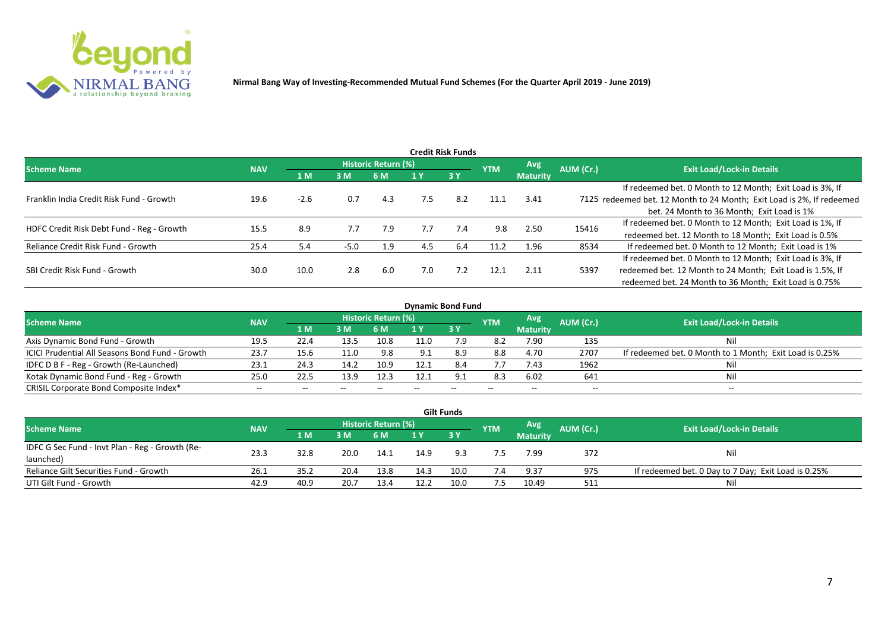

|                                           |            |        |        |                     |     | <b>Credit Risk Funds</b> |            |                 |           |                                                                       |
|-------------------------------------------|------------|--------|--------|---------------------|-----|--------------------------|------------|-----------------|-----------|-----------------------------------------------------------------------|
| Scheme Name                               | <b>NAV</b> |        |        | Historic Return (%) |     |                          | <b>YTM</b> | <b>Avg</b>      | AUM (Cr.) | <b>Exit Load/Lock-in Details</b>                                      |
|                                           |            | 1 M    | 3M     | 6 M                 |     | 3Y                       |            | <b>Maturity</b> |           |                                                                       |
|                                           |            |        |        |                     |     |                          |            |                 |           | If redeemed bet. 0 Month to 12 Month; Exit Load is 3%, If             |
| Franklin India Credit Risk Fund - Growth  | 19.6       | $-2.6$ | 0.7    | 4.3                 | 7.5 | 8.2                      | 11.1       | 3.41            |           | 7125 redeemed bet. 12 Month to 24 Month; Exit Load is 2%, If redeemed |
|                                           |            |        |        |                     |     |                          |            |                 |           | bet. 24 Month to 36 Month; Exit Load is 1%                            |
| HDFC Credit Risk Debt Fund - Reg - Growth | 15.5       | 8.9    | 7.7    | 7.9                 | 7.7 | 7.4                      | 9.8        | 2.50            | 15416     | If redeemed bet. 0 Month to 12 Month; Exit Load is 1%, If             |
|                                           |            |        |        |                     |     |                          |            |                 |           | redeemed bet. 12 Month to 18 Month; Exit Load is 0.5%                 |
| Reliance Credit Risk Fund - Growth        | 25.4       | 5.4    | $-5.0$ | 1.9                 | 4.5 | 6.4                      | 11.2       | 1.96            | 8534      | If redeemed bet. 0 Month to 12 Month; Exit Load is 1%                 |
|                                           |            |        |        |                     |     |                          |            |                 |           | If redeemed bet. 0 Month to 12 Month; Exit Load is 3%, If             |
| SBI Credit Risk Fund - Growth             | 30.0       | 10.0   | 2.8    | 6.0                 | 7.0 | 7.2                      | 12.1       | 2.11            | 5397      | redeemed bet. 12 Month to 24 Month; Exit Load is 1.5%, If             |
|                                           |            |        |        |                     |     |                          |            |                 |           | redeemed bet. 24 Month to 36 Month; Exit Load is 0.75%                |

| <b>Dynamic Bond Fund</b>                        |            |       |       |                          |      |       |            |                          |           |                                                         |  |  |  |  |
|-------------------------------------------------|------------|-------|-------|--------------------------|------|-------|------------|--------------------------|-----------|---------------------------------------------------------|--|--|--|--|
| <b>Scheme Name</b>                              | <b>NAV</b> |       |       | Historic Return (%)      |      |       | <b>YTM</b> | Avg                      | AUM (Cr.) | <b>Exit Load/Lock-in Details</b>                        |  |  |  |  |
|                                                 |            | 1 M   | 3M    | 6 M                      |      | -3 Y  |            | <b>Maturity</b>          |           |                                                         |  |  |  |  |
| Axis Dynamic Bond Fund - Growth                 | 19.5       | 22.4  | 13.5  | 10.8                     | 11.0 | 7.9   | 8.2        | 7.90                     | 135       | Nil                                                     |  |  |  |  |
| ICICI Prudential All Seasons Bond Fund - Growth | 23.7       | 15.6  | 11.0  | 9.8                      | Q 1  | 8.9   | 8.8        | 4.70                     | 2707      | If redeemed bet. 0 Month to 1 Month; Exit Load is 0.25% |  |  |  |  |
| IDFC D B F - Reg - Growth (Re-Launched)         | 23.1       | 24.3  | 14.2  | 10.9                     | 12.1 | 8.4   | 7.7        | 7.43                     | 1962      |                                                         |  |  |  |  |
| Kotak Dynamic Bond Fund - Reg - Growth          | 25.0       | 22.5  | 13.9  | 12.3                     | 12.1 | 9.1   | 8.3        | 6.02                     | 641       | Ni                                                      |  |  |  |  |
| CRISIL Corporate Bond Composite Index*          | $- -$      | $- -$ | $- -$ | $\overline{\phantom{a}}$ |      | $- -$ |            | $\overline{\phantom{a}}$ | $- -$     | $-$                                                     |  |  |  |  |

|                                                 |            |      |      |                            |      | <b>Gilt Funds</b> |            |                  |           |                                                     |
|-------------------------------------------------|------------|------|------|----------------------------|------|-------------------|------------|------------------|-----------|-----------------------------------------------------|
| <b>Scheme Name</b>                              | <b>NAV</b> |      |      | <b>Historic Return (%)</b> |      |                   | <b>YTM</b> | Avg <sup>1</sup> | AUM (Cr.) | <b>Exit Load/Lock-in Details</b>                    |
|                                                 |            | 1 M  | 3M   | 6 M                        |      | <b>3Y</b>         |            | <b>Maturity</b>  |           |                                                     |
| IDFC G Sec Fund - Invt Plan - Reg - Growth (Re- | 23.3       | 32.8 | 20.0 |                            | 14.9 | 9.3               |            | 7.99             | 372       |                                                     |
| launched)                                       |            |      |      | 14.1                       |      |                   |            |                  |           | Nil                                                 |
| Reliance Gilt Securities Fund - Growth          | 26.1       | 35.2 | 20.4 | 13.8                       | 14.3 | 10.0              | 7.4        | 9.37             | 975       | If redeemed bet. 0 Day to 7 Day; Exit Load is 0.25% |
| UTI Gilt Fund - Growth                          | 42.9       | 40.9 | 20.7 | 13.4                       | 12.2 | 10.0              | 7.5        | 10.49            | 511       | Nil                                                 |